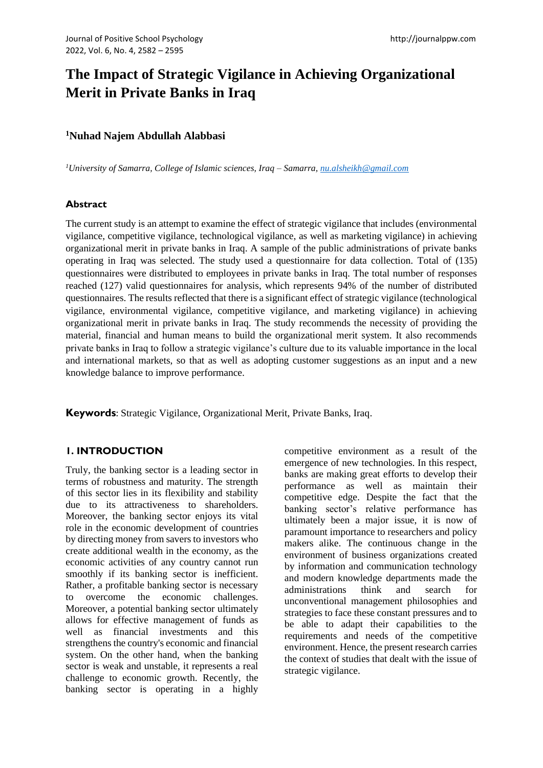# **The Impact of Strategic Vigilance in Achieving Organizational Merit in Private Banks in Iraq**

## **<sup>1</sup>Nuhad Najem Abdullah Alabbasi**

*<sup>1</sup>University of Samarra, College of Islamic sciences, Iraq – Samarra, [nu.alsheikh@gmail.com](mailto:nu.alsheikh@gmail.com)*

#### **Abstract**

The current study is an attempt to examine the effect of strategic vigilance that includes (environmental vigilance, competitive vigilance, technological vigilance, as well as marketing vigilance) in achieving organizational merit in private banks in Iraq. A sample of the public administrations of private banks operating in Iraq was selected. The study used a questionnaire for data collection. Total of (135) questionnaires were distributed to employees in private banks in Iraq. The total number of responses reached (127) valid questionnaires for analysis, which represents 94% of the number of distributed questionnaires. The results reflected that there is a significant effect of strategic vigilance (technological vigilance, environmental vigilance, competitive vigilance, and marketing vigilance) in achieving organizational merit in private banks in Iraq. The study recommends the necessity of providing the material, financial and human means to build the organizational merit system. It also recommends private banks in Iraq to follow a strategic vigilance's culture due to its valuable importance in the local and international markets, so that as well as adopting customer suggestions as an input and a new knowledge balance to improve performance.

**Keywords**: Strategic Vigilance, Organizational Merit, Private Banks, Iraq.

## **1. INTRODUCTION**

Truly, the banking sector is a leading sector in terms of robustness and maturity. The strength of this sector lies in its flexibility and stability due to its attractiveness to shareholders. Moreover, the banking sector enjoys its vital role in the economic development of countries by directing money from savers to investors who create additional wealth in the economy, as the economic activities of any country cannot run smoothly if its banking sector is inefficient. Rather, a profitable banking sector is necessary to overcome the economic challenges. Moreover, a potential banking sector ultimately allows for effective management of funds as well as financial investments and this strengthens the country's economic and financial system. On the other hand, when the banking sector is weak and unstable, it represents a real challenge to economic growth. Recently, the banking sector is operating in a highly competitive environment as a result of the emergence of new technologies. In this respect, banks are making great efforts to develop their performance as well as maintain their competitive edge. Despite the fact that the banking sector's relative performance has ultimately been a major issue, it is now of paramount importance to researchers and policy makers alike. The continuous change in the environment of business organizations created by information and communication technology and modern knowledge departments made the administrations think and search for unconventional management philosophies and strategies to face these constant pressures and to be able to adapt their capabilities to the requirements and needs of the competitive environment. Hence, the present research carries the context of studies that dealt with the issue of strategic vigilance.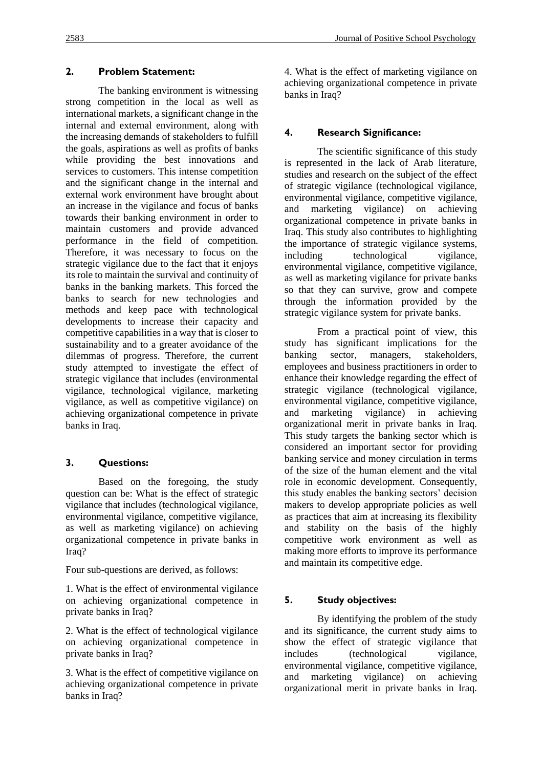## **2. Problem Statement:**

The banking environment is witnessing strong competition in the local as well as international markets, a significant change in the internal and external environment, along with the increasing demands of stakeholders to fulfill the goals, aspirations as well as profits of banks while providing the best innovations and services to customers. This intense competition and the significant change in the internal and external work environment have brought about an increase in the vigilance and focus of banks towards their banking environment in order to maintain customers and provide advanced performance in the field of competition. Therefore, it was necessary to focus on the strategic vigilance due to the fact that it enjoys its role to maintain the survival and continuity of banks in the banking markets. This forced the banks to search for new technologies and methods and keep pace with technological developments to increase their capacity and competitive capabilities in a way that is closer to sustainability and to a greater avoidance of the dilemmas of progress. Therefore, the current study attempted to investigate the effect of strategic vigilance that includes (environmental vigilance, technological vigilance, marketing vigilance, as well as competitive vigilance) on achieving organizational competence in private banks in Iraq.

# **3. Questions:**

Based on the foregoing, the study question can be: What is the effect of strategic vigilance that includes (technological vigilance, environmental vigilance, competitive vigilance, as well as marketing vigilance) on achieving organizational competence in private banks in Iraq?

Four sub-questions are derived, as follows:

1. What is the effect of environmental vigilance on achieving organizational competence in private banks in Iraq?

2. What is the effect of technological vigilance on achieving organizational competence in private banks in Iraq?

3. What is the effect of competitive vigilance on achieving organizational competence in private banks in Iraq?

4. What is the effect of marketing vigilance on achieving organizational competence in private banks in Iraq?

# **4. Research Significance:**

The scientific significance of this study is represented in the lack of Arab literature, studies and research on the subject of the effect of strategic vigilance (technological vigilance, environmental vigilance, competitive vigilance, and marketing vigilance) on achieving organizational competence in private banks in Iraq. This study also contributes to highlighting the importance of strategic vigilance systems, including technological vigilance, environmental vigilance, competitive vigilance, as well as marketing vigilance for private banks so that they can survive, grow and compete through the information provided by the strategic vigilance system for private banks.

From a practical point of view, this study has significant implications for the banking sector, managers, stakeholders, employees and business practitioners in order to enhance their knowledge regarding the effect of strategic vigilance (technological vigilance, environmental vigilance, competitive vigilance, and marketing vigilance) in achieving organizational merit in private banks in Iraq. This study targets the banking sector which is considered an important sector for providing banking service and money circulation in terms of the size of the human element and the vital role in economic development. Consequently, this study enables the banking sectors' decision makers to develop appropriate policies as well as practices that aim at increasing its flexibility and stability on the basis of the highly competitive work environment as well as making more efforts to improve its performance and maintain its competitive edge.

# **5. Study objectives:**

By identifying the problem of the study and its significance, the current study aims to show the effect of strategic vigilance that includes (technological vigilance, environmental vigilance, competitive vigilance, and marketing vigilance) on achieving organizational merit in private banks in Iraq.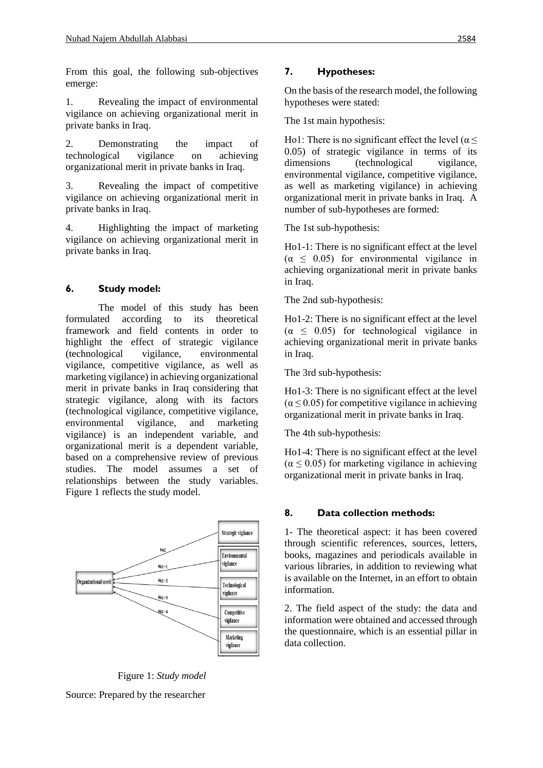From this goal, the following sub-objectives emerge:

1. Revealing the impact of environmental vigilance on achieving organizational merit in private banks in Iraq.

2. Demonstrating the impact of technological vigilance on achieving organizational merit in private banks in Iraq.

3. Revealing the impact of competitive vigilance on achieving organizational merit in private banks in Iraq.

4. Highlighting the impact of marketing vigilance on achieving organizational merit in private banks in Iraq.

## **6. Study model:**

The model of this study has been formulated according to its theoretical framework and field contents in order to highlight the effect of strategic vigilance (technological vigilance, environmental vigilance, competitive vigilance, as well as marketing vigilance) in achieving organizational merit in private banks in Iraq considering that strategic vigilance, along with its factors (technological vigilance, competitive vigilance, environmental vigilance, and marketing vigilance) is an independent variable, and organizational merit is a dependent variable, based on a comprehensive review of previous studies. The model assumes a set of relationships between the study variables. Figure 1 reflects the study model.



Figure 1: *Study model*

Source: Prepared by the researcher

# **7. Hypotheses:**

On the basis of the research model, the following hypotheses were stated:

The 1st main hypothesis:

Ho1: There is no significant effect the level ( $\alpha \leq$ 0.05) of strategic vigilance in terms of its dimensions (technological vigilance, environmental vigilance, competitive vigilance, as well as marketing vigilance) in achieving organizational merit in private banks in Iraq. A number of sub-hypotheses are formed:

The 1st sub-hypothesis:

Ho1-1: There is no significant effect at the level  $(\alpha \leq 0.05)$  for environmental vigilance in achieving organizational merit in private banks in Iraq.

The 2nd sub-hypothesis:

Ho1-2: There is no significant effect at the level  $(\alpha \leq 0.05)$  for technological vigilance in achieving organizational merit in private banks in Iraq.

The 3rd sub-hypothesis:

Ho1-3: There is no significant effect at the level  $(\alpha \leq 0.05)$  for competitive vigilance in achieving organizational merit in private banks in Iraq.

The 4th sub-hypothesis:

Ho1-4: There is no significant effect at the level  $(\alpha \leq 0.05)$  for marketing vigilance in achieving organizational merit in private banks in Iraq.

# **8. Data collection methods:**

1- The theoretical aspect: it has been covered through scientific references, sources, letters, books, magazines and periodicals available in various libraries, in addition to reviewing what is available on the Internet, in an effort to obtain information.

2. The field aspect of the study: the data and information were obtained and accessed through the questionnaire, which is an essential pillar in data collection.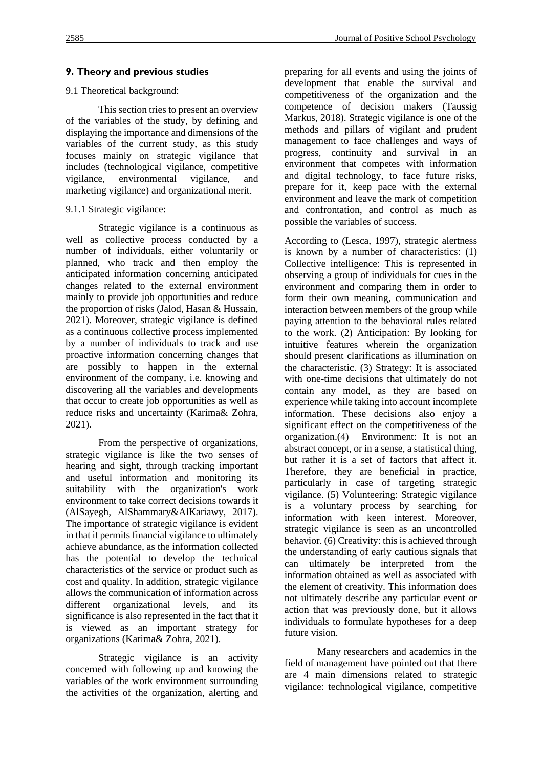### **9. Theory and previous studies**

#### 9.1 Theoretical background:

This section tries to present an overview of the variables of the study, by defining and displaying the importance and dimensions of the variables of the current study, as this study focuses mainly on strategic vigilance that includes (technological vigilance, competitive vigilance, environmental vigilance, and marketing vigilance) and organizational merit.

#### 9.1.1 Strategic vigilance:

Strategic vigilance is a continuous as well as collective process conducted by a number of individuals, either voluntarily or planned, who track and then employ the anticipated information concerning anticipated changes related to the external environment mainly to provide job opportunities and reduce the proportion of risks (Jalod, Hasan & Hussain, 2021). Moreover, strategic vigilance is defined as a continuous collective process implemented by a number of individuals to track and use proactive information concerning changes that are possibly to happen in the external environment of the company, i.e. knowing and discovering all the variables and developments that occur to create job opportunities as well as reduce risks and uncertainty (Karima& Zohra, 2021).

From the perspective of organizations, strategic vigilance is like the two senses of hearing and sight, through tracking important and useful information and monitoring its suitability with the organization's work environment to take correct decisions towards it (AlSayegh, AlShammary&AlKariawy, 2017). The importance of strategic vigilance is evident in that it permits financial vigilance to ultimately achieve abundance, as the information collected has the potential to develop the technical characteristics of the service or product such as cost and quality. In addition, strategic vigilance allows the communication of information across different organizational levels, and its significance is also represented in the fact that it is viewed as an important strategy for organizations (Karima& Zohra, 2021).

Strategic vigilance is an activity concerned with following up and knowing the variables of the work environment surrounding the activities of the organization, alerting and preparing for all events and using the joints of development that enable the survival and competitiveness of the organization and the competence of decision makers (Taussig Markus, 2018). Strategic vigilance is one of the methods and pillars of vigilant and prudent management to face challenges and ways of progress, continuity and survival in an environment that competes with information and digital technology, to face future risks, prepare for it, keep pace with the external environment and leave the mark of competition and confrontation, and control as much as possible the variables of success.

According to (Lesca, 1997), strategic alertness is known by a number of characteristics: (1) Collective intelligence: This is represented in observing a group of individuals for cues in the environment and comparing them in order to form their own meaning, communication and interaction between members of the group while paying attention to the behavioral rules related to the work. (2) Anticipation: By looking for intuitive features wherein the organization should present clarifications as illumination on the characteristic. (3) Strategy: It is associated with one-time decisions that ultimately do not contain any model, as they are based on experience while taking into account incomplete information. These decisions also enjoy a significant effect on the competitiveness of the organization.(4) Environment: It is not an abstract concept, or in a sense, a statistical thing, but rather it is a set of factors that affect it. Therefore, they are beneficial in practice, particularly in case of targeting strategic vigilance. (5) Volunteering: Strategic vigilance is a voluntary process by searching for information with keen interest. Moreover, strategic vigilance is seen as an uncontrolled behavior. (6) Creativity: this is achieved through the understanding of early cautious signals that can ultimately be interpreted from the information obtained as well as associated with the element of creativity. This information does not ultimately describe any particular event or action that was previously done, but it allows individuals to formulate hypotheses for a deep future vision.

Many researchers and academics in the field of management have pointed out that there are 4 main dimensions related to strategic vigilance: technological vigilance, competitive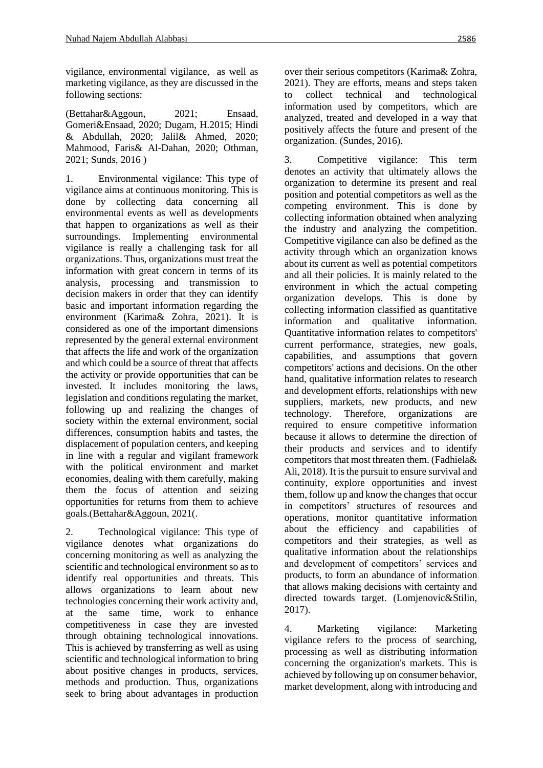vigilance, environmental vigilance, as well as marketing vigilance, as they are discussed in the following sections:

(Bettahar&Aggoun, 2021; Ensaad, Gomeri&Ensaad, 2020; Dugam, H.2015; Hindi & Abdullah, 2020; Jalil& Ahmed, 2020; Mahmood, Faris& Al-Dahan, 2020; Othman, 2021; Sunds, 2016 )

1. Environmental vigilance: This type of vigilance aims at continuous monitoring. This is done by collecting data concerning all environmental events as well as developments that happen to organizations as well as their surroundings. Implementing environmental vigilance is really a challenging task for all organizations. Thus, organizations must treat the information with great concern in terms of its analysis, processing and transmission to decision makers in order that they can identify basic and important information regarding the environment (Karima& Zohra, 2021). It is considered as one of the important dimensions represented by the general external environment that affects the life and work of the organization and which could be a source of threat that affects the activity or provide opportunities that can be invested. It includes monitoring the laws, legislation and conditions regulating the market, following up and realizing the changes of society within the external environment, social differences, consumption habits and tastes, the displacement of population centers, and keeping in line with a regular and vigilant framework with the political environment and market economies, dealing with them carefully, making them the focus of attention and seizing opportunities for returns from them to achieve goals.(Bettahar&Aggoun, 2021(.

2. Technological vigilance: This type of vigilance denotes what organizations do concerning monitoring as well as analyzing the scientific and technological environment so as to identify real opportunities and threats. This allows organizations to learn about new technologies concerning their work activity and, at the same time, work to enhance competitiveness in case they are invested through obtaining technological innovations. This is achieved by transferring as well as using scientific and technological information to bring about positive changes in products, services, methods and production. Thus, organizations seek to bring about advantages in production over their serious competitors (Karima& Zohra, 2021). They are efforts, means and steps taken to collect technical and technological information used by competitors, which are analyzed, treated and developed in a way that positively affects the future and present of the organization. (Sundes, 2016).

3. Competitive vigilance: This term denotes an activity that ultimately allows the organization to determine its present and real position and potential competitors as well as the competing environment. This is done by collecting information obtained when analyzing the industry and analyzing the competition. Competitive vigilance can also be defined as the activity through which an organization knows about its current as well as potential competitors and all their policies. It is mainly related to the environment in which the actual competing organization develops. This is done by collecting information classified as quantitative information and qualitative information. Quantitative information relates to competitors' current performance, strategies, new goals, capabilities, and assumptions that govern competitors' actions and decisions. On the other hand, qualitative information relates to research and development efforts, relationships with new suppliers, markets, new products, and new technology. Therefore, organizations are required to ensure competitive information because it allows to determine the direction of their products and services and to identify competitors that most threaten them. (Fadhiela& Ali, 2018). It is the pursuit to ensure survival and continuity, explore opportunities and invest them, follow up and know the changes that occur in competitors' structures of resources and operations, monitor quantitative information about the efficiency and capabilities of competitors and their strategies, as well as qualitative information about the relationships and development of competitors' services and products, to form an abundance of information that allows making decisions with certainty and directed towards target. (Lomjenovic&Stilin, 2017).

4. Marketing vigilance: Marketing vigilance refers to the process of searching, processing as well as distributing information concerning the organization's markets. This is achieved by following up on consumer behavior, market development, along with introducing and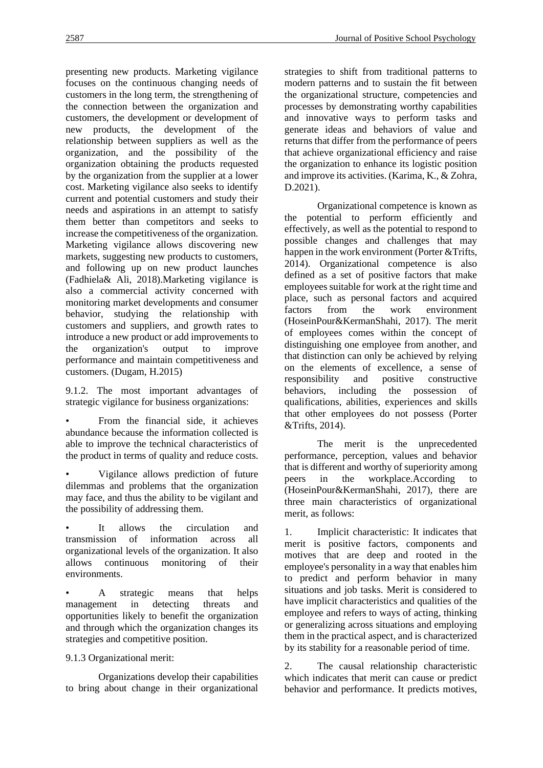presenting new products. Marketing vigilance focuses on the continuous changing needs of customers in the long term, the strengthening of the connection between the organization and customers, the development or development of new products, the development of the relationship between suppliers as well as the organization, and the possibility of the organization obtaining the products requested by the organization from the supplier at a lower cost. Marketing vigilance also seeks to identify current and potential customers and study their needs and aspirations in an attempt to satisfy them better than competitors and seeks to increase the competitiveness of the organization. Marketing vigilance allows discovering new markets, suggesting new products to customers, and following up on new product launches (Fadhiela& Ali, 2018).Marketing vigilance is also a commercial activity concerned with monitoring market developments and consumer behavior, studying the relationship with customers and suppliers, and growth rates to introduce a new product or add improvements to the organization's output to improve performance and maintain competitiveness and customers. (Dugam, H.2015)

9.1.2. The most important advantages of strategic vigilance for business organizations:

From the financial side, it achieves abundance because the information collected is able to improve the technical characteristics of the product in terms of quality and reduce costs.

• Vigilance allows prediction of future dilemmas and problems that the organization may face, and thus the ability to be vigilant and the possibility of addressing them.

It allows the circulation and transmission of information across all organizational levels of the organization. It also allows continuous monitoring of their environments.

• A strategic means that helps management in detecting threats and opportunities likely to benefit the organization and through which the organization changes its strategies and competitive position.

9.1.3 Organizational merit:

Organizations develop their capabilities to bring about change in their organizational strategies to shift from traditional patterns to modern patterns and to sustain the fit between the organizational structure, competencies and processes by demonstrating worthy capabilities and innovative ways to perform tasks and generate ideas and behaviors of value and returns that differ from the performance of peers that achieve organizational efficiency and raise the organization to enhance its logistic position and improve its activities. (Karima, K., & Zohra, D.2021).

Organizational competence is known as the potential to perform efficiently and effectively, as well as the potential to respond to possible changes and challenges that may happen in the work environment (Porter &Trifts, 2014). Organizational competence is also defined as a set of positive factors that make employees suitable for work at the right time and place, such as personal factors and acquired factors from the work environment (HoseinPour&KermanShahi, 2017). The merit of employees comes within the concept of distinguishing one employee from another, and that distinction can only be achieved by relying on the elements of excellence, a sense of responsibility and positive constructive behaviors, including the possession of qualifications, abilities, experiences and skills that other employees do not possess (Porter &Trifts, 2014).

The merit is the unprecedented performance, perception, values and behavior that is different and worthy of superiority among peers in the workplace.According to (HoseinPour&KermanShahi, 2017), there are three main characteristics of organizational merit, as follows:

1. Implicit characteristic: It indicates that merit is positive factors, components and motives that are deep and rooted in the employee's personality in a way that enables him to predict and perform behavior in many situations and job tasks. Merit is considered to have implicit characteristics and qualities of the employee and refers to ways of acting, thinking or generalizing across situations and employing them in the practical aspect, and is characterized by its stability for a reasonable period of time.

2. The causal relationship characteristic which indicates that merit can cause or predict behavior and performance. It predicts motives,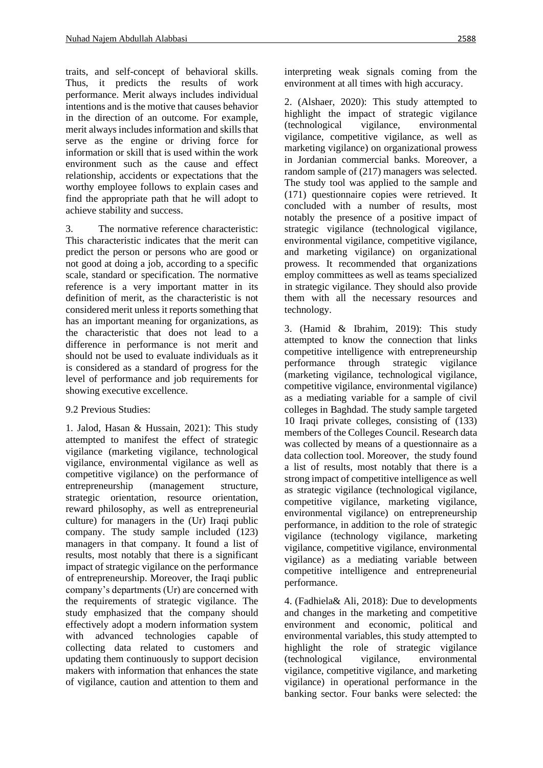traits, and self-concept of behavioral skills. Thus, it predicts the results of work performance. Merit always includes individual intentions and is the motive that causes behavior in the direction of an outcome. For example, merit always includes information and skills that serve as the engine or driving force for information or skill that is used within the work environment such as the cause and effect relationship, accidents or expectations that the worthy employee follows to explain cases and find the appropriate path that he will adopt to achieve stability and success.

3. The normative reference characteristic: This characteristic indicates that the merit can predict the person or persons who are good or not good at doing a job, according to a specific scale, standard or specification. The normative reference is a very important matter in its definition of merit, as the characteristic is not considered merit unless it reports something that has an important meaning for organizations, as the characteristic that does not lead to a difference in performance is not merit and should not be used to evaluate individuals as it is considered as a standard of progress for the level of performance and job requirements for showing executive excellence.

#### 9.2 Previous Studies:

1. Jalod, Hasan & Hussain, 2021): This study attempted to manifest the effect of strategic vigilance (marketing vigilance, technological vigilance, environmental vigilance as well as competitive vigilance) on the performance of entrepreneurship (management structure, strategic orientation, resource orientation, reward philosophy, as well as entrepreneurial culture) for managers in the (Ur) Iraqi public company. The study sample included (123) managers in that company. It found a list of results, most notably that there is a significant impact of strategic vigilance on the performance of entrepreneurship. Moreover, the Iraqi public company's departments (Ur) are concerned with the requirements of strategic vigilance. The study emphasized that the company should effectively adopt a modern information system with advanced technologies capable of collecting data related to customers and updating them continuously to support decision makers with information that enhances the state of vigilance, caution and attention to them and interpreting weak signals coming from the environment at all times with high accuracy.

2. (Alshaer, 2020): This study attempted to highlight the impact of strategic vigilance (technological vigilance, environmental vigilance, competitive vigilance, as well as marketing vigilance) on organizational prowess in Jordanian commercial banks. Moreover, a random sample of (217) managers was selected. The study tool was applied to the sample and (171) questionnaire copies were retrieved. It concluded with a number of results, most notably the presence of a positive impact of strategic vigilance (technological vigilance, environmental vigilance, competitive vigilance, and marketing vigilance) on organizational prowess. It recommended that organizations employ committees as well as teams specialized in strategic vigilance. They should also provide them with all the necessary resources and technology.

3. (Hamid & Ibrahim, 2019): This study attempted to know the connection that links competitive intelligence with entrepreneurship performance through strategic vigilance (marketing vigilance, technological vigilance, competitive vigilance, environmental vigilance) as a mediating variable for a sample of civil colleges in Baghdad. The study sample targeted 10 Iraqi private colleges, consisting of (133) members of the Colleges Council. Research data was collected by means of a questionnaire as a data collection tool. Moreover, the study found a list of results, most notably that there is a strong impact of competitive intelligence as well as strategic vigilance (technological vigilance, competitive vigilance, marketing vigilance, environmental vigilance) on entrepreneurship performance, in addition to the role of strategic vigilance (technology vigilance, marketing vigilance, competitive vigilance, environmental vigilance) as a mediating variable between competitive intelligence and entrepreneurial performance.

4. (Fadhiela& Ali, 2018): Due to developments and changes in the marketing and competitive environment and economic, political and environmental variables, this study attempted to highlight the role of strategic vigilance (technological vigilance, environmental vigilance, competitive vigilance, and marketing vigilance) in operational performance in the banking sector. Four banks were selected: the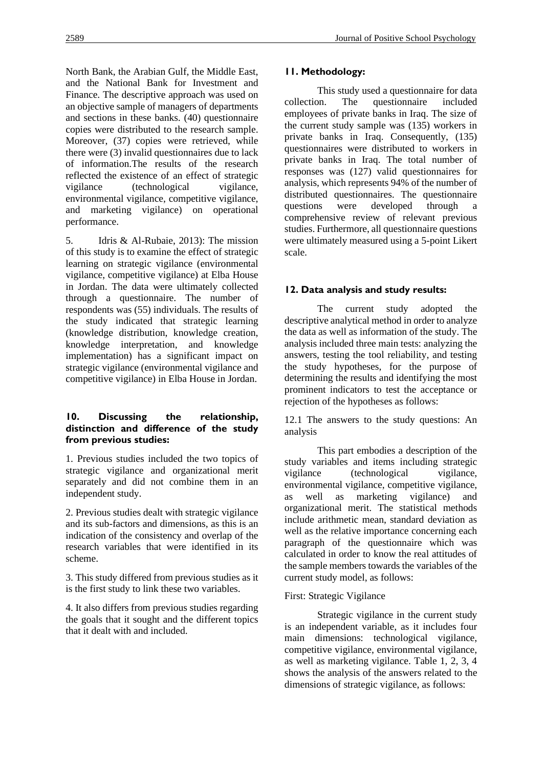North Bank, the Arabian Gulf, the Middle East, and the National Bank for Investment and Finance. The descriptive approach was used on an objective sample of managers of departments and sections in these banks. (40) questionnaire copies were distributed to the research sample. Moreover, (37) copies were retrieved, while there were (3) invalid questionnaires due to lack of information.The results of the research reflected the existence of an effect of strategic vigilance (technological vigilance, environmental vigilance, competitive vigilance, and marketing vigilance) on operational performance.

5. Idris & Al-Rubaie, 2013): The mission of this study is to examine the effect of strategic learning on strategic vigilance (environmental vigilance, competitive vigilance) at Elba House in Jordan. The data were ultimately collected through a questionnaire. The number of respondents was (55) individuals. The results of the study indicated that strategic learning (knowledge distribution, knowledge creation, knowledge interpretation, and knowledge implementation) has a significant impact on strategic vigilance (environmental vigilance and competitive vigilance) in Elba House in Jordan.

### **10. Discussing the relationship, distinction and difference of the study from previous studies:**

1. Previous studies included the two topics of strategic vigilance and organizational merit separately and did not combine them in an independent study.

2. Previous studies dealt with strategic vigilance and its sub-factors and dimensions, as this is an indication of the consistency and overlap of the research variables that were identified in its scheme.

3. This study differed from previous studies as it is the first study to link these two variables.

4. It also differs from previous studies regarding the goals that it sought and the different topics that it dealt with and included.

#### **11. Methodology:**

This study used a questionnaire for data collection. The questionnaire included employees of private banks in Iraq. The size of the current study sample was (135) workers in private banks in Iraq. Consequently, (135) questionnaires were distributed to workers in private banks in Iraq. The total number of responses was (127) valid questionnaires for analysis, which represents 94% of the number of distributed questionnaires. The questionnaire questions were developed through a comprehensive review of relevant previous studies. Furthermore, all questionnaire questions were ultimately measured using a 5-point Likert scale.

## **12. Data analysis and study results:**

The current study adopted the descriptive analytical method in order to analyze the data as well as information of the study. The analysis included three main tests: analyzing the answers, testing the tool reliability, and testing the study hypotheses, for the purpose of determining the results and identifying the most prominent indicators to test the acceptance or rejection of the hypotheses as follows:

12.1 The answers to the study questions: An analysis

This part embodies a description of the study variables and items including strategic vigilance (technological vigilance, environmental vigilance, competitive vigilance, as well as marketing vigilance) and organizational merit. The statistical methods include arithmetic mean, standard deviation as well as the relative importance concerning each paragraph of the questionnaire which was calculated in order to know the real attitudes of the sample members towards the variables of the current study model, as follows:

## First: Strategic Vigilance

Strategic vigilance in the current study is an independent variable, as it includes four main dimensions: technological vigilance, competitive vigilance, environmental vigilance, as well as marketing vigilance. Table 1, 2, 3, 4 shows the analysis of the answers related to the dimensions of strategic vigilance, as follows: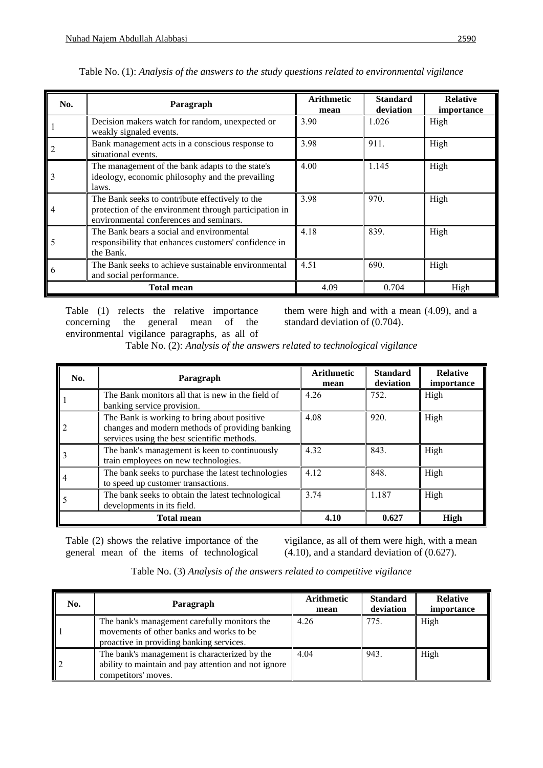| No.            | Paragraph                                                                                                                                            | <b>Arithmetic</b><br>mean | <b>Standard</b><br>deviation | <b>Relative</b><br>importance |
|----------------|------------------------------------------------------------------------------------------------------------------------------------------------------|---------------------------|------------------------------|-------------------------------|
|                | Decision makers watch for random, unexpected or<br>weakly signaled events.                                                                           | 3.90                      | 1.026                        | High                          |
| 2              | Bank management acts in a conscious response to<br>situational events.                                                                               | 3.98                      | 911.                         | High                          |
| 3              | The management of the bank adapts to the state's<br>ideology, economic philosophy and the prevailing<br>laws.                                        | 4.00                      | 1.145                        | High                          |
| $\overline{4}$ | The Bank seeks to contribute effectively to the<br>protection of the environment through participation in<br>environmental conferences and seminars. | 3.98                      | 970.                         | High                          |
| 5              | The Bank bears a social and environmental<br>responsibility that enhances customers' confidence in<br>the Bank.                                      | 4.18                      | 839.                         | High                          |
| 6              | The Bank seeks to achieve sustainable environmental<br>and social performance.                                                                       | 4.51                      | 690.                         | High                          |
|                | <b>Total mean</b>                                                                                                                                    | 4.09                      | 0.704                        | High                          |

| Table No. (1): Analysis of the answers to the study questions related to environmental vigilance |  |  |
|--------------------------------------------------------------------------------------------------|--|--|
|                                                                                                  |  |  |

Table (1) relects the relative importance concerning the general mean of the environmental vigilance paragraphs, as all of them were high and with a mean (4.09), and a standard deviation of (0.704).

Table No. (2): *Analysis of the answers related to technological vigilance*

| No.            | Paragraph                                                                                                                                     | <b>Arithmetic</b><br>mean | <b>Standard</b><br>deviation | <b>Relative</b><br>importance |
|----------------|-----------------------------------------------------------------------------------------------------------------------------------------------|---------------------------|------------------------------|-------------------------------|
|                | The Bank monitors all that is new in the field of<br>banking service provision.                                                               | 4.26                      | 752.                         | High                          |
| $\overline{c}$ | The Bank is working to bring about positive<br>changes and modern methods of providing banking<br>services using the best scientific methods. | 4.08                      | 920.                         | High                          |
| 3              | The bank's management is keen to continuously<br>train employees on new technologies.                                                         | 4.32                      | 843.                         | High                          |
| 4              | The bank seeks to purchase the latest technologies<br>to speed up customer transactions.                                                      | 4.12                      | 848.                         | High                          |
|                | The bank seeks to obtain the latest technological<br>developments in its field.                                                               | 3.74                      | 1.187                        | High                          |
|                | <b>Total mean</b>                                                                                                                             | 4.10                      | 0.627                        | <b>High</b>                   |

Table (2) shows the relative importance of the general mean of the items of technological vigilance, as all of them were high, with a mean (4.10), and a standard deviation of (0.627).

| Table No. (3) Analysis of the answers related to competitive vigilance |  |  |  |
|------------------------------------------------------------------------|--|--|--|
|------------------------------------------------------------------------|--|--|--|

| No.                  | Paragraph                                                                                                                            | <b>Arithmetic</b><br>mean | <b>Standard</b><br>deviation | <b>Relative</b><br><i>importance</i> |
|----------------------|--------------------------------------------------------------------------------------------------------------------------------------|---------------------------|------------------------------|--------------------------------------|
| I                    | The bank's management carefully monitors the<br>movements of other banks and works to be<br>proactive in providing banking services. | 4.26                      | 775.                         | High                                 |
| $\vert$ <sub>2</sub> | The bank's management is characterized by the<br>ability to maintain and pay attention and not ignore<br>competitors' moves.         | 4.04                      | 943.                         | High                                 |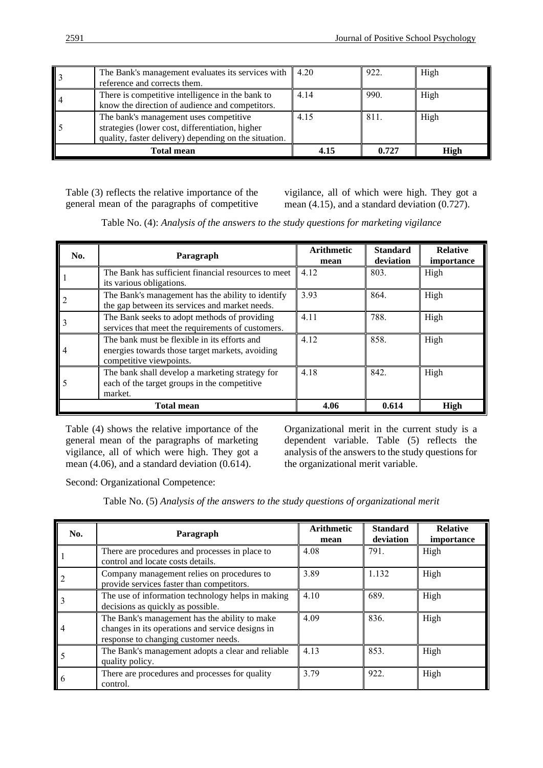|                   | The Bank's management evaluates its services with $\parallel$ 4.20<br>reference and corrects them.                                                 |      | 922.  | High        |
|-------------------|----------------------------------------------------------------------------------------------------------------------------------------------------|------|-------|-------------|
| 4                 | There is competitive intelligence in the bank to<br>know the direction of audience and competitors.                                                | 4.14 | 990.  | High        |
|                   | The bank's management uses competitive<br>strategies (lower cost, differentiation, higher<br>quality, faster delivery) depending on the situation. | 4.15 | 811.  | High        |
| <b>Total mean</b> |                                                                                                                                                    | 4.15 | 0.727 | <b>High</b> |

Table (3) reflects the relative importance of the general mean of the paragraphs of competitive vigilance, all of which were high. They got a mean (4.15), and a standard deviation (0.727).

Table No. (4): *Analysis of the answers to the study questions for marketing vigilance*

| No. | Paragraph                                                                                                                  | <b>Arithmetic</b><br>mean | <b>Standard</b><br>deviation | <b>Relative</b><br>importance |
|-----|----------------------------------------------------------------------------------------------------------------------------|---------------------------|------------------------------|-------------------------------|
|     | The Bank has sufficient financial resources to meet<br>its various obligations.                                            | 4.12                      | 803.                         | High                          |
|     | The Bank's management has the ability to identify<br>the gap between its services and market needs.                        | 3.93                      | 864.                         | High                          |
|     | The Bank seeks to adopt methods of providing<br>services that meet the requirements of customers.                          | 4.11                      | 788.                         | High                          |
| 4   | The bank must be flexible in its efforts and<br>energies towards those target markets, avoiding<br>competitive viewpoints. | 4.12                      | 858.                         | High                          |
|     | The bank shall develop a marketing strategy for<br>each of the target groups in the competitive<br>market.                 | 4.18                      | 842.                         | High                          |
|     | <b>Total mean</b>                                                                                                          | 4.06                      | 0.614                        | High                          |

Table (4) shows the relative importance of the general mean of the paragraphs of marketing vigilance, all of which were high. They got a mean (4.06), and a standard deviation (0.614).

Organizational merit in the current study is a dependent variable. Table (5) reflects the analysis of the answers to the study questions for the organizational merit variable.

Second: Organizational Competence:

Table No. (5) *Analysis of the answers to the study questions of organizational merit*

| No. | Paragraph                                                                                                                                 | <b>Arithmetic</b><br>mean | <b>Standard</b><br>deviation | <b>Relative</b><br>importance |
|-----|-------------------------------------------------------------------------------------------------------------------------------------------|---------------------------|------------------------------|-------------------------------|
|     | There are procedures and processes in place to<br>control and locate costs details.                                                       | 4.08                      | 791.                         | High                          |
|     | Company management relies on procedures to<br>provide services faster than competitors.                                                   | 3.89                      | 1.132                        | High                          |
|     | The use of information technology helps in making<br>decisions as quickly as possible.                                                    | 4.10                      | 689.                         | High                          |
|     | The Bank's management has the ability to make<br>changes in its operations and service designs in<br>response to changing customer needs. | 4.09                      | 836.                         | High                          |
|     | The Bank's management adopts a clear and reliable<br>quality policy.                                                                      | 4.13                      | 853.                         | High                          |
|     | There are procedures and processes for quality<br>control.                                                                                | 3.79                      | 922.                         | High                          |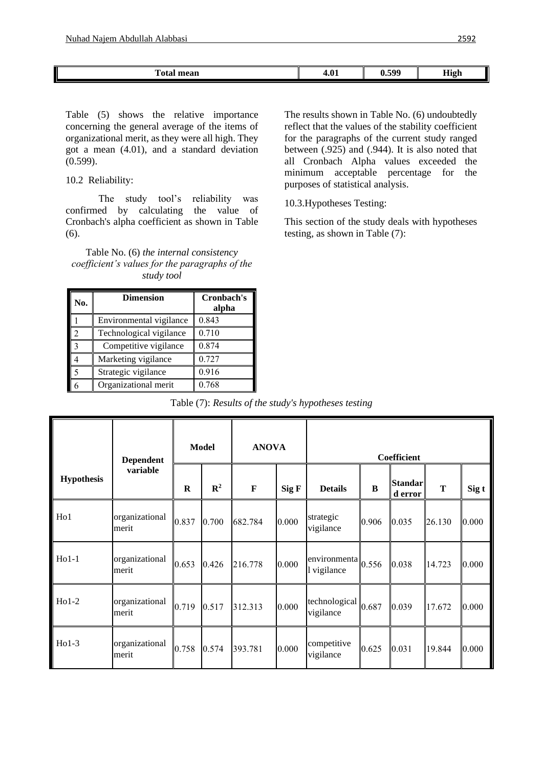| <b>CONTINUES</b><br>`~<br>nean | 7.VI | 500<br>w. | <b>High</b> |
|--------------------------------|------|-----------|-------------|
|                                |      |           |             |

Table (5) shows the relative importance concerning the general average of the items of organizational merit, as they were all high. They got a mean (4.01), and a standard deviation (0.599).

10.2 Reliability:

The study tool's reliability was confirmed by calculating the value of Cronbach's alpha coefficient as shown in Table (6).

Table No. (6) *the internal consistency coefficient's values for the paragraphs of the study tool*

| No.                | <b>Dimension</b>        | Cronbach's<br>alpha |
|--------------------|-------------------------|---------------------|
|                    | Environmental vigilance | 0.843               |
|                    | Technological vigilance | 0.710               |
| $\mathbf{\hat{z}}$ | Competitive vigilance   | 0.874               |
|                    | Marketing vigilance     | 0.727               |
|                    | Strategic vigilance     | 0.916               |
|                    | Organizational merit    | 0.768               |

The results shown in Table No. (6) undoubtedly reflect that the values of the stability coefficient for the paragraphs of the current study ranged between (.925) and (.944). It is also noted that all Cronbach Alpha values exceeded the minimum acceptable percentage for the purposes of statistical analysis.

10.3.Hypotheses Testing:

This section of the study deals with hypotheses testing, as shown in Table (7):

Table (7): *Results of the study's hypotheses testing*

|                   | <b>Dependent</b><br>variable |         | <b>Model</b>   | <b>ANOVA</b> |       |                             |       | Coefficient               |        |       |
|-------------------|------------------------------|---------|----------------|--------------|-------|-----------------------------|-------|---------------------------|--------|-------|
| <b>Hypothesis</b> |                              | $\bf R$ | $\mathbb{R}^2$ | F            | Sig F | <b>Details</b>              | B     | <b>Standar</b><br>d error | T      | Sig t |
| H <sub>o</sub> 1  | organizational<br>merit      | 0.837   | 0.700          | 682.784      | 0.000 | strategic<br>vigilance      | 0.906 | 0.035                     | 26.130 | 0.000 |
| $Ho1-1$           | organizational<br>merit      | 0.653   | 0.426          | 216.778      | 0.000 | environmenta<br>l vigilance | 0.556 | 0.038                     | 14.723 | 0.000 |
| $Ho1-2$           | organizational<br>merit      | 0.719   | 0.517          | 312.313      | 0.000 | technological<br>vigilance  | 0.687 | 0.039                     | 17.672 | 0.000 |
| $Ho1-3$           | organizational<br>merit      | 0.758   | 0.574          | 393.781      | 0.000 | competitive<br>vigilance    | 0.625 | 0.031                     | 19.844 | 0.000 |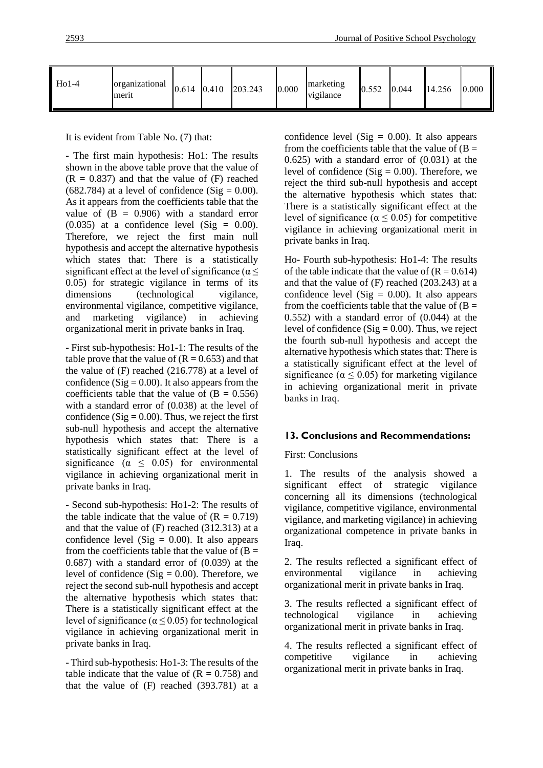| $Ho1-4$ | organizational<br>merit | 0.614 | 0.410 | 203.243 | 0.000 | marketing<br>vigilance | 0.552 | 0.044 | 14.256 | 0.000 |
|---------|-------------------------|-------|-------|---------|-------|------------------------|-------|-------|--------|-------|
|---------|-------------------------|-------|-------|---------|-------|------------------------|-------|-------|--------|-------|

It is evident from Table No. (7) that:

- The first main hypothesis: Ho1: The results shown in the above table prove that the value of  $(R = 0.837)$  and that the value of  $(F)$  reached  $(682.784)$  at a level of confidence  $(Sig = 0.00)$ . As it appears from the coefficients table that the value of  $(B = 0.906)$  with a standard error  $(0.035)$  at a confidence level  $(Sig = 0.00)$ . Therefore, we reject the first main null hypothesis and accept the alternative hypothesis which states that: There is a statistically significant effect at the level of significance ( $\alpha \leq$ 0.05) for strategic vigilance in terms of its dimensions (technological vigilance, environmental vigilance, competitive vigilance, and marketing vigilance) in achieving organizational merit in private banks in Iraq.

- First sub-hypothesis: Ho1-1: The results of the table prove that the value of  $(R = 0.653)$  and that the value of (F) reached (216.778) at a level of confidence ( $Sig = 0.00$ ). It also appears from the coefficients table that the value of  $(B = 0.556)$ with a standard error of (0.038) at the level of confidence ( $\text{Sig} = 0.00$ ). Thus, we reject the first sub-null hypothesis and accept the alternative hypothesis which states that: There is a statistically significant effect at the level of significance ( $\alpha \leq 0.05$ ) for environmental vigilance in achieving organizational merit in private banks in Iraq.

- Second sub-hypothesis: Ho1-2: The results of the table indicate that the value of  $(R = 0.719)$ and that the value of (F) reached (312.313) at a confidence level (Sig  $= 0.00$ ). It also appears from the coefficients table that the value of  $(B =$ 0.687) with a standard error of (0.039) at the level of confidence (Sig  $= 0.00$ ). Therefore, we reject the second sub-null hypothesis and accept the alternative hypothesis which states that: There is a statistically significant effect at the level of significance ( $\alpha \leq 0.05$ ) for technological vigilance in achieving organizational merit in private banks in Iraq.

- Third sub-hypothesis: Ho1-3: The results of the table indicate that the value of  $(R = 0.758)$  and that the value of (F) reached (393.781) at a confidence level (Sig  $= 0.00$ ). It also appears from the coefficients table that the value of  $(B =$ 0.625) with a standard error of (0.031) at the level of confidence (Sig  $= 0.00$ ). Therefore, we reject the third sub-null hypothesis and accept the alternative hypothesis which states that: There is a statistically significant effect at the level of significance ( $\alpha \leq 0.05$ ) for competitive vigilance in achieving organizational merit in private banks in Iraq.

Ho- Fourth sub-hypothesis: Ho1-4: The results of the table indicate that the value of  $(R = 0.614)$ and that the value of (F) reached (203.243) at a confidence level (Sig  $= 0.00$ ). It also appears from the coefficients table that the value of  $(B =$ 0.552) with a standard error of (0.044) at the level of confidence (Sig  $= 0.00$ ). Thus, we reject the fourth sub-null hypothesis and accept the alternative hypothesis which states that: There is a statistically significant effect at the level of significance ( $\alpha \leq 0.05$ ) for marketing vigilance in achieving organizational merit in private banks in Iraq.

## **13. Conclusions and Recommendations:**

## First: Conclusions

1. The results of the analysis showed a significant effect of strategic vigilance concerning all its dimensions (technological vigilance, competitive vigilance, environmental vigilance, and marketing vigilance) in achieving organizational competence in private banks in Iraq.

2. The results reflected a significant effect of environmental vigilance in achieving organizational merit in private banks in Iraq.

3. The results reflected a significant effect of technological vigilance in achieving organizational merit in private banks in Iraq.

4. The results reflected a significant effect of competitive vigilance in achieving organizational merit in private banks in Iraq.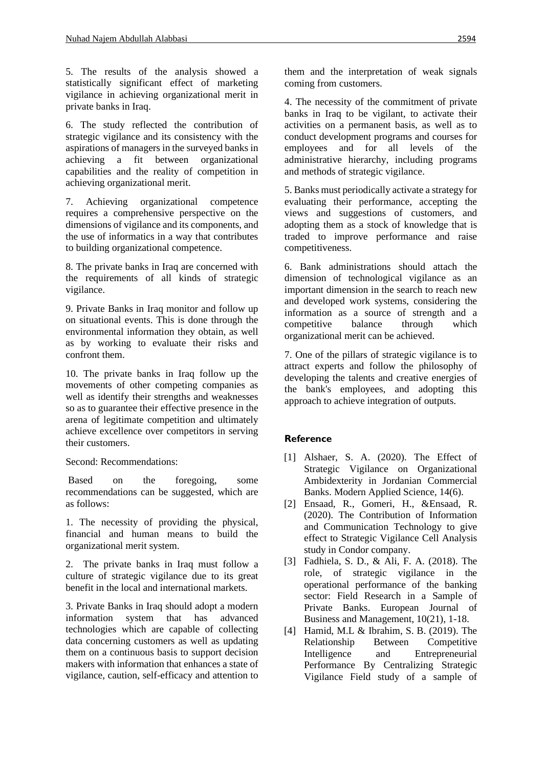5. The results of the analysis showed a statistically significant effect of marketing vigilance in achieving organizational merit in private banks in Iraq.

6. The study reflected the contribution of strategic vigilance and its consistency with the aspirations of managers in the surveyed banks in achieving a fit between organizational capabilities and the reality of competition in achieving organizational merit.

7. Achieving organizational competence requires a comprehensive perspective on the dimensions of vigilance and its components, and the use of informatics in a way that contributes to building organizational competence.

8. The private banks in Iraq are concerned with the requirements of all kinds of strategic vigilance.

9. Private Banks in Iraq monitor and follow up on situational events. This is done through the environmental information they obtain, as well as by working to evaluate their risks and confront them.

10. The private banks in Iraq follow up the movements of other competing companies as well as identify their strengths and weaknesses so as to guarantee their effective presence in the arena of legitimate competition and ultimately achieve excellence over competitors in serving their customers.

Second: Recommendations:

Based on the foregoing, some recommendations can be suggested, which are as follows:

1. The necessity of providing the physical, financial and human means to build the organizational merit system.

2. The private banks in Iraq must follow a culture of strategic vigilance due to its great benefit in the local and international markets.

3. Private Banks in Iraq should adopt a modern information system that has advanced technologies which are capable of collecting data concerning customers as well as updating them on a continuous basis to support decision makers with information that enhances a state of vigilance, caution, self-efficacy and attention to them and the interpretation of weak signals coming from customers.

4. The necessity of the commitment of private banks in Iraq to be vigilant, to activate their activities on a permanent basis, as well as to conduct development programs and courses for employees and for all levels of the administrative hierarchy, including programs and methods of strategic vigilance.

5. Banks must periodically activate a strategy for evaluating their performance, accepting the views and suggestions of customers, and adopting them as a stock of knowledge that is traded to improve performance and raise competitiveness.

6. Bank administrations should attach the dimension of technological vigilance as an important dimension in the search to reach new and developed work systems, considering the information as a source of strength and a competitive balance through which organizational merit can be achieved.

7. One of the pillars of strategic vigilance is to attract experts and follow the philosophy of developing the talents and creative energies of the bank's employees, and adopting this approach to achieve integration of outputs.

# **Reference**

- [1] Alshaer, S. A. (2020). The Effect of Strategic Vigilance on Organizational Ambidexterity in Jordanian Commercial Banks. Modern Applied Science, 14(6).
- [2] Ensaad, R., Gomeri, H., &Ensaad, R. (2020). The Contribution of Information and Communication Technology to give effect to Strategic Vigilance Cell Analysis study in Condor company.
- [3] Fadhiela, S. D., & Ali, F. A. (2018). The role, of strategic vigilance in the operational performance of the banking sector: Field Research in a Sample of Private Banks. European Journal of Business and Management, 10(21), 1-18.
- [4] Hamid, M.L & Ibrahim, S. B. (2019). The Relationship Between Competitive Intelligence and Entrepreneurial Performance By Centralizing Strategic Vigilance Field study of a sample of